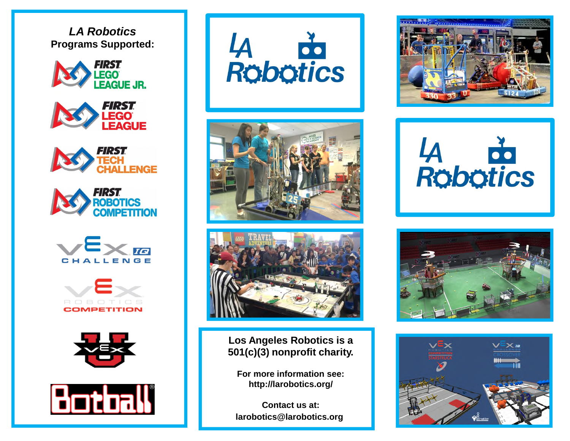*LA Robotics* **Programs Supported:**























**Los Angeles Robotics is a 501(c)(3) nonprofit charity.**

**For more information see: http://larobotics.org/**

**Contact us at: larobotics@larobotics.org**